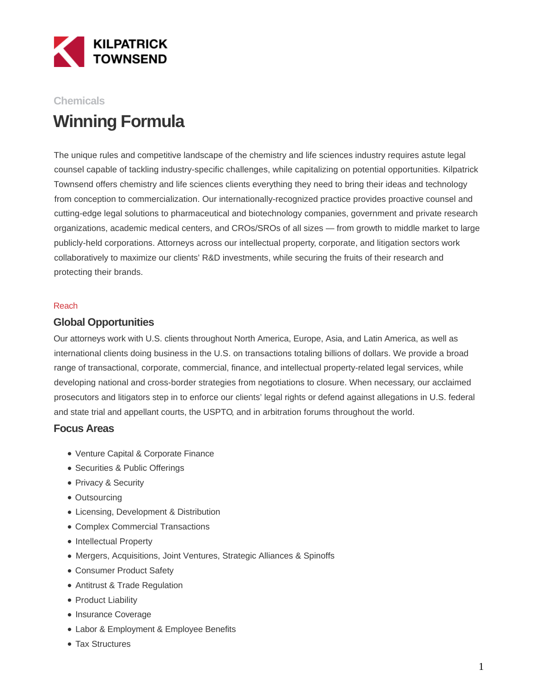

# **Chemicals Winning Formula**

The unique rules and competitive landscape of the chemistry and life sciences industry requires astute legal counsel capable of tackling industry-specific challenges, while capitalizing on potential opportunities. Kilpatrick Townsend offers chemistry and life sciences clients everything they need to bring their ideas and technology from conception to commercialization. Our internationally-recognized practice provides proactive counsel and cutting-edge legal solutions to pharmaceutical and biotechnology companies, government and private research organizations, academic medical centers, and CROs/SROs of all sizes — from growth to middle market to large publicly-held corporations. Attorneys across our intellectual property, corporate, and litigation sectors work collaboratively to maximize our clients' R&D investments, while securing the fruits of their research and protecting their brands.

#### Reach

### **Global Opportunities**

Our attorneys work with U.S. clients throughout North America, Europe, Asia, and Latin America, as well as international clients doing business in the U.S. on transactions totaling billions of dollars. We provide a broad range of transactional, corporate, commercial, finance, and intellectual property-related legal services, while developing national and cross-border strategies from negotiations to closure. When necessary, our acclaimed prosecutors and litigators step in to enforce our clients' legal rights or defend against allegations in U.S. federal and state trial and appellant courts, the USPTO, and in arbitration forums throughout the world.

### **Focus Areas**

- Venture Capital & Corporate Finance
- Securities & Public Offerings
- Privacy & Security
- Outsourcing
- Licensing, Development & Distribution
- Complex Commercial Transactions
- Intellectual Property
- Mergers, Acquisitions, Joint Ventures, Strategic Alliances & Spinoffs
- Consumer Product Safety
- Antitrust & Trade Regulation
- Product Liability
- Insurance Coverage
- Labor & Employment & Employee Benefits
- Tax Structures